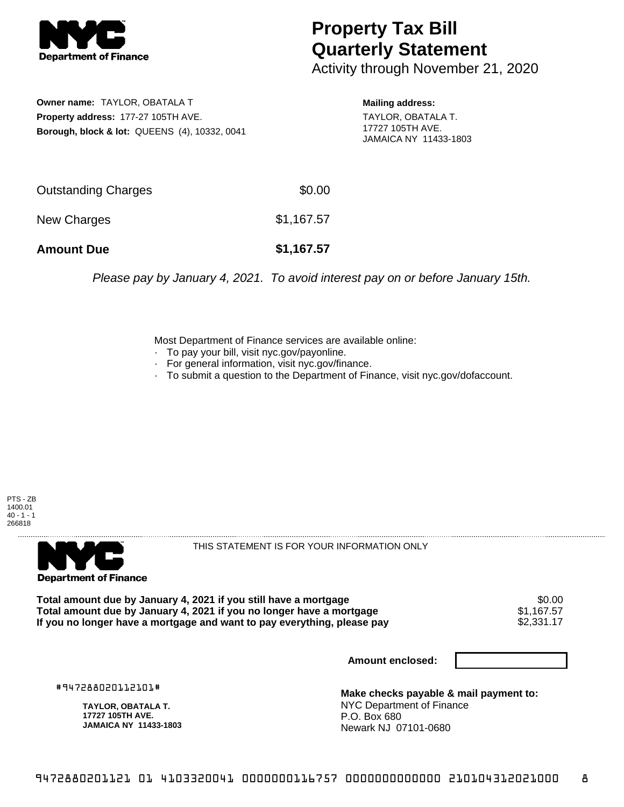

## **Property Tax Bill Quarterly Statement**

Activity through November 21, 2020

**Owner name:** TAYLOR, OBATALA T **Property address:** 177-27 105TH AVE. **Borough, block & lot:** QUEENS (4), 10332, 0041 **Mailing address:**

TAYLOR, OBATALA T. 17727 105TH AVE. JAMAICA NY 11433-1803

| <b>Amount Due</b>   | \$1,167.57 |
|---------------------|------------|
| New Charges         | \$1,167.57 |
| Outstanding Charges | \$0.00     |

Please pay by January 4, 2021. To avoid interest pay on or before January 15th.

Most Department of Finance services are available online:

- · To pay your bill, visit nyc.gov/payonline.
- For general information, visit nyc.gov/finance.
- · To submit a question to the Department of Finance, visit nyc.gov/dofaccount.





THIS STATEMENT IS FOR YOUR INFORMATION ONLY

Total amount due by January 4, 2021 if you still have a mortgage \$0.00<br>Total amount due by January 4, 2021 if you no longer have a mortgage \$1.167.57 **Total amount due by January 4, 2021 if you no longer have a mortgage**  $$1,167.57$$ **<br>If you no longer have a mortgage and want to pay everything, please pay**  $$2,331.17$$ If you no longer have a mortgage and want to pay everything, please pay

**Amount enclosed:**

#947288020112101#

**TAYLOR, OBATALA T. 17727 105TH AVE. JAMAICA NY 11433-1803**

**Make checks payable & mail payment to:** NYC Department of Finance P.O. Box 680 Newark NJ 07101-0680